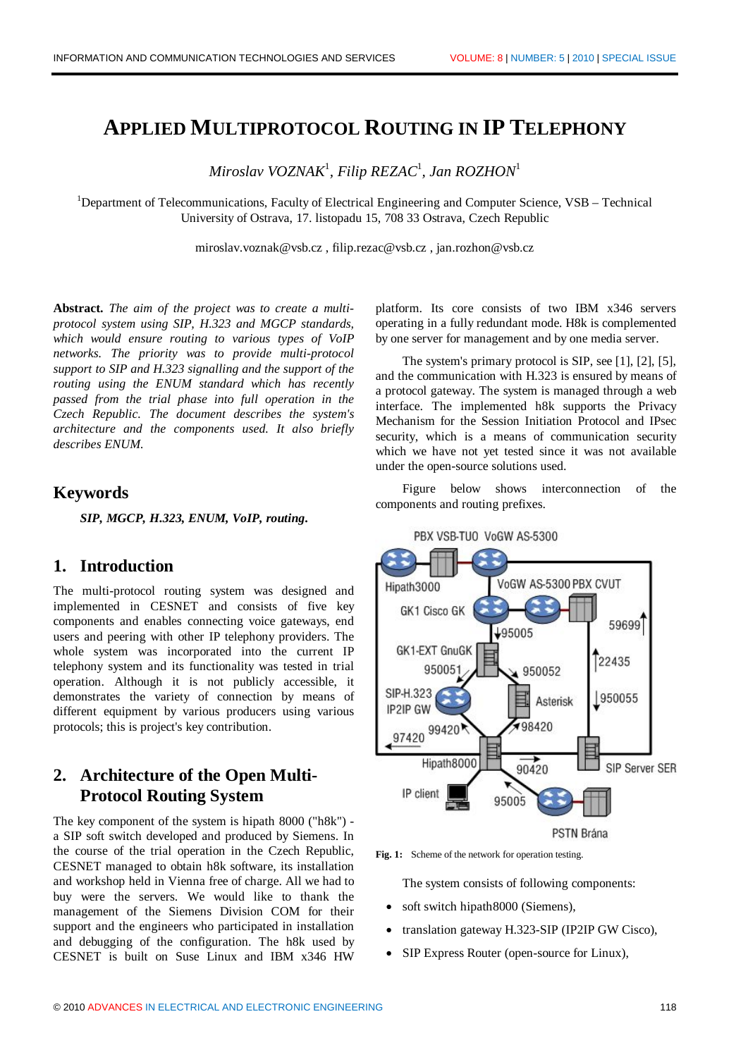# **APPLIED MULTIPROTOCOL ROUTING IN IP TELEPHONY**

*Miroslav VOZNAK*<sup>1</sup> *, Filip REZAC*<sup>1</sup> *, Jan ROZHON*<sup>1</sup>

<sup>1</sup>Department of Telecommunications, Faculty of Electrical Engineering and Computer Science,  $VSB - Technical$ University of Ostrava, 17. listopadu 15, 708 33 Ostrava, Czech Republic

miroslav.voznak@vsb.cz , filip.rezac@vsb.cz , jan.rozhon@vsb.cz

**Abstract.** *The aim of the project was to create a multiprotocol system using SIP, H.323 and MGCP standards, which would ensure routing to various types of VoIP networks. The priority was to provide multi-protocol support to SIP and H.323 signalling and the support of the routing using the ENUM standard which has recently passed from the trial phase into full operation in the Czech Republic. The document describes the system's architecture and the components used. It also briefly describes ENUM.*

## **Keywords**

*SIP, MGCP, H.323, ENUM, VoIP, routing***.**

## **1. Introduction**

The multi-protocol routing system was designed and implemented in CESNET and consists of five key components and enables connecting voice gateways, end users and peering with other IP telephony providers. The whole system was incorporated into the current IP telephony system and its functionality was tested in trial operation. Although it is not publicly accessible, it demonstrates the variety of connection by means of different equipment by various producers using various protocols; this is project's key contribution.

# **2. Architecture of the Open Multi-Protocol Routing System**

The key component of the system is hipath 8000 ("h8k") a SIP soft switch developed and produced by Siemens. In the course of the trial operation in the Czech Republic, CESNET managed to obtain h8k software, its installation and workshop held in Vienna free of charge. All we had to buy were the servers. We would like to thank the management of the Siemens Division COM for their support and the engineers who participated in installation and debugging of the configuration. The h8k used by CESNET is built on Suse Linux and IBM x346 HW

platform. Its core consists of two IBM x346 servers operating in a fully redundant mode. H8k is complemented by one server for management and by one media server.

The system's primary protocol is SIP, see [1], [2], [5], and the communication with H.323 is ensured by means of a protocol gateway. The system is managed through a web interface. The implemented h8k supports the Privacy Mechanism for the Session Initiation Protocol and IPsec security, which is a means of communication security which we have not yet tested since it was not available under the open-source solutions used.

Figure below shows interconnection of the components and routing prefixes.



Fig. 1: Scheme of the network for operation testing.

The system consists of following components:

- soft switch hipath8000 (Siemens),
- translation gateway H.323-SIP (IP2IP GW Cisco),
- · SIP Express Router (open-source for Linux),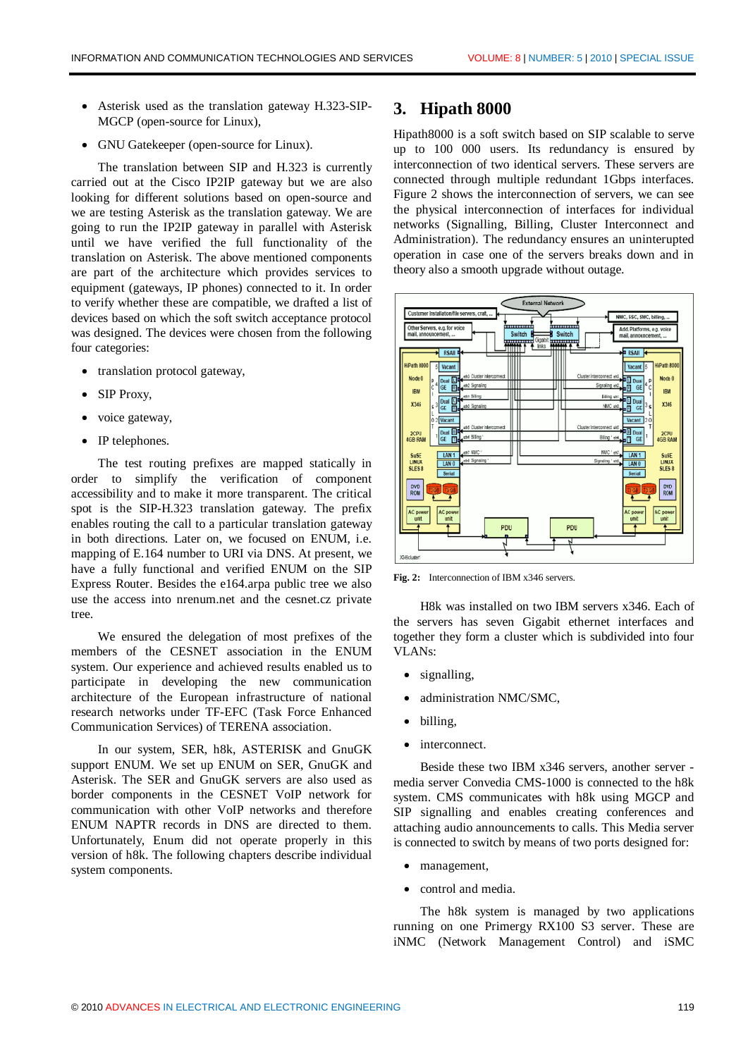- Asterisk used as the translation gateway H.323-SIP-MGCP (open-source for Linux),
- · GNU Gatekeeper (open-source for Linux).

The translation between SIP and H.323 is currently carried out at the Cisco IP2IP gateway but we are also looking for different solutions based on open-source and we are testing Asterisk as the translation gateway. We are going to run the IP2IP gateway in parallel with Asterisk until we have verified the full functionality of the translation on Asterisk. The above mentioned components are part of the architecture which provides services to equipment (gateways, IP phones) connected to it. In order to verify whether these are compatible, we drafted a list of devices based on which the soft switch acceptance protocol was designed. The devices were chosen from the following four categories:

- · translation protocol gateway,
- SIP Proxy,
- voice gateway,
- IP telephones.

The test routing prefixes are mapped statically in order to simplify the verification of component accessibility and to make it more transparent. The critical spot is the SIP-H.323 translation gateway. The prefix enables routing the call to a particular translation gateway in both directions. Later on, we focused on ENUM, i.e. mapping of E.164 number to URI via DNS. At present, we have a fully functional and verified ENUM on the SIP Express Router. Besides the e164.arpa public tree we also use the access into nrenum.net and the cesnet.cz private tree.

We ensured the delegation of most prefixes of the members of the CESNET association in the ENUM system. Our experience and achieved results enabled us to participate in developing the new communication architecture of the European infrastructure of national research networks under TF-EFC (Task Force Enhanced Communication Services) of TERENA association.

In our system, SER, h8k, ASTERISK and GnuGK support ENUM. We set up ENUM on SER, GnuGK and Asterisk. The SER and GnuGK servers are also used as border components in the CESNET VoIP network for communication with other VoIP networks and therefore ENUM NAPTR records in DNS are directed to them. Unfortunately, Enum did not operate properly in this version of h8k. The following chapters describe individual system components.

### **3. Hipath 8000**

Hipath8000 is a soft switch based on SIP scalable to serve up to 100 000 users. Its redundancy is ensured by interconnection of two identical servers. These servers are connected through multiple redundant 1Gbps interfaces. Figure 2 shows the interconnection of servers, we can see the physical interconnection of interfaces for individual networks (Signalling, Billing, Cluster Interconnect and Administration). The redundancy ensures an uninterupted operation in case one of the servers breaks down and in theory also a smooth upgrade without outage.



**Fig. 2:** Interconnection of IBM x346 servers.

H8k was installed on two IBM servers x346. Each of the servers has seven Gigabit ethernet interfaces and together they form a cluster which is subdivided into four VLANs:

- signalling,
- administration NMC/SMC,
- billing,
- interconnect.

Beside these two IBM x346 servers, another server media server Convedia CMS-1000 is connected to the h8k system. CMS communicates with h8k using MGCP and SIP signalling and enables creating conferences and attaching audio announcements to calls. This Media server is connected to switch by means of two ports designed for:

- · management,
- control and media.

The h8k system is managed by two applications running on one Primergy RX100 S3 server. These are iNMC (Network Management Control) and iSMC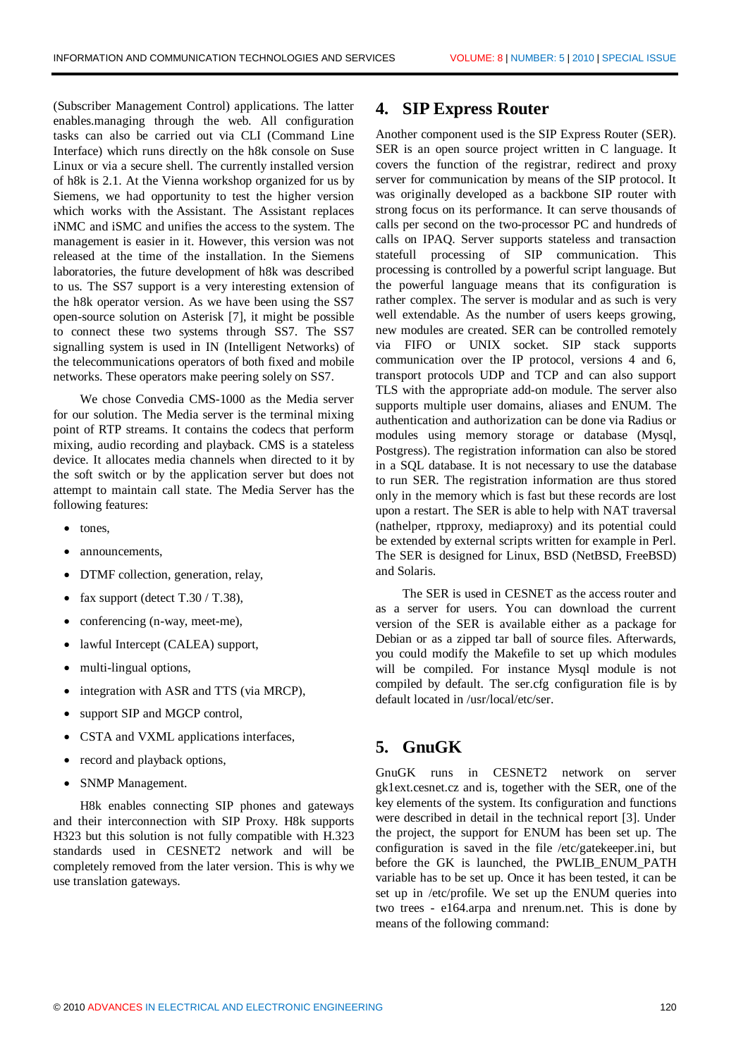(Subscriber Management Control) applications. The latter enables.managing through the web. All configuration tasks can also be carried out via CLI (Command Line Interface) which runs directly on the h8k console on Suse Linux or via a secure shell. The currently installed version of h8k is 2.1. At the Vienna workshop organized for us by Siemens, we had opportunity to test the higher version which works with the Assistant. The Assistant replaces iNMC and iSMC and unifies the access to the system. The management is easier in it. However, this version was not released at the time of the installation. In the Siemens laboratories, the future development of h8k was described to us. The SS7 support is a very interesting extension of the h8k operator version. As we have been using the SS7 open-source solution on Asterisk [7], it might be possible to connect these two systems through SS7. The SS7 signalling system is used in IN (Intelligent Networks) of the telecommunications operators of both fixed and mobile networks. These operators make peering solely on SS7.

We chose Convedia CMS-1000 as the Media server for our solution. The Media server is the terminal mixing point of RTP streams. It contains the codecs that perform mixing, audio recording and playback. CMS is a stateless device. It allocates media channels when directed to it by the soft switch or by the application server but does not attempt to maintain call state. The Media Server has the following features:

- tones,
- · announcements,
- DTMF collection, generation, relay,
- fax support (detect  $T.30 / T.38$ ),
- conferencing (n-way, meet-me),
- lawful Intercept (CALEA) support,
- multi-lingual options,
- integration with ASR and TTS (via MRCP),
- support SIP and MGCP control,
- · CSTA and VXML applications interfaces,
- record and playback options,
- SNMP Management.

H8k enables connecting SIP phones and gateways and their interconnection with SIP Proxy. H8k supports H323 but this solution is not fully compatible with H.323 standards used in CESNET2 network and will be completely removed from the later version. This is why we use translation gateways.

### **4. SIP Express Router**

Another component used is the SIP Express Router (SER). SER is an open source project written in C language. It covers the function of the registrar, redirect and proxy server for communication by means of the SIP protocol. It was originally developed as a backbone SIP router with strong focus on its performance. It can serve thousands of calls per second on the two-processor PC and hundreds of calls on IPAQ. Server supports stateless and transaction statefull processing of SIP communication. This processing is controlled by a powerful script language. But the powerful language means that its configuration is rather complex. The server is modular and as such is very well extendable. As the number of users keeps growing, new modules are created. SER can be controlled remotely via FIFO or UNIX socket. SIP stack supports communication over the IP protocol, versions 4 and 6, transport protocols UDP and TCP and can also support TLS with the appropriate add-on module. The server also supports multiple user domains, aliases and ENUM. The authentication and authorization can be done via Radius or modules using memory storage or database (Mysql, Postgress). The registration information can also be stored in a SQL database. It is not necessary to use the database to run SER. The registration information are thus stored only in the memory which is fast but these records are lost upon a restart. The SER is able to help with NAT traversal (nathelper, rtpproxy, mediaproxy) and its potential could be extended by external scripts written for example in Perl. The SER is designed for Linux, BSD (NetBSD, FreeBSD) and Solaris.

The SER is used in CESNET as the access router and as a server for users. You can download the current version of the SER is available either as a package for Debian or as a zipped tar ball of source files. Afterwards, you could modify the Makefile to set up which modules will be compiled. For instance Mysql module is not compiled by default. The ser.cfg configuration file is by default located in /usr/local/etc/ser.

## **5. GnuGK**

GnuGK runs in CESNET2 network on server gk1ext.cesnet.cz and is, together with the SER, one of the key elements of the system. Its configuration and functions were described in detail in the technical report [3]. Under the project, the support for ENUM has been set up. The configuration is saved in the file /etc/gatekeeper.ini, but before the GK is launched, the PWLIB\_ENUM\_PATH variable has to be set up. Once it has been tested, it can be set up in /etc/profile. We set up the ENUM queries into two trees - e164.arpa and nrenum.net. This is done by means of the following command: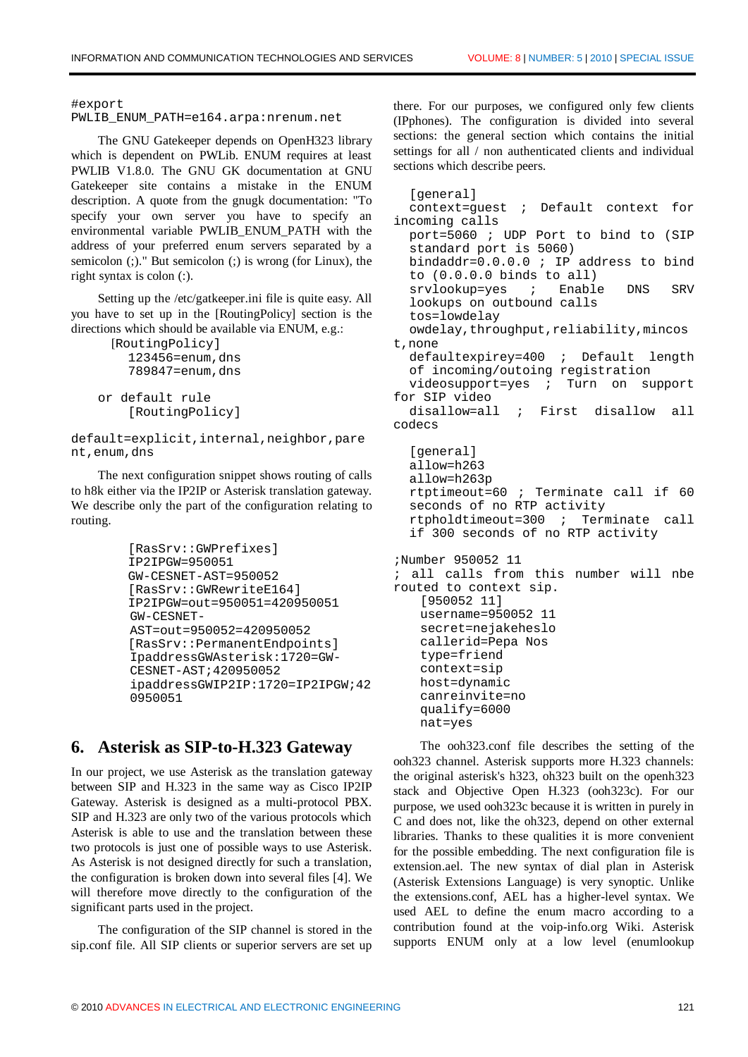#export

```
PWLIB_ENUM_PATH=e164.arpa:nrenum.net
```
The GNU Gatekeeper depends on OpenH323 library which is dependent on PWLib. ENUM requires at least PWLIB V1.8.0. The GNU GK documentation at GNU Gatekeeper site contains a mistake in the ENUM description. A quote from the gnugk documentation: "To specify your own server you have to specify an environmental variable PWLIB\_ENUM\_PATH with the address of your preferred enum servers separated by a semicolon (;)." But semicolon (;) is wrong (for Linux), the right syntax is colon (:).

Setting up the /etc/gatkeeper.ini file is quite easy. All you have to set up in the [RoutingPolicy] section is the directions which should be available via ENUM, e.g.:

```
 [RoutingPolicy]
     123456=enum,dns
     789847=enum,dns
or default rule
     [RoutingPolicy]
```
default=explicit,internal,neighbor,pare nt,enum,dns

The next configuration snippet shows routing of calls to h8k either via the IP2IP or Asterisk translation gateway. We describe only the part of the configuration relating to routing.

```
 [RasSrv::GWPrefixes]
 IP2IPGW=950051
 GW-CESNET-AST=950052
 [RasSrv::GWRewriteE164]
 IP2IPGW=out=950051=420950051
GW-CESNET-
AST=out=950052=420950052
 [RasSrv::PermanentEndpoints]
IpaddressGWAsterisk:1720=GW-
CESNET-AST;420950052
ipaddressGWIP2IP:1720=IP2IPGW;42
0950051
```
## **6. Asterisk as SIP-to-H.323 Gateway**

In our project, we use Asterisk as the translation gateway between SIP and H.323 in the same way as Cisco IP2IP Gateway. Asterisk is designed as a multi-protocol PBX. SIP and H.323 are only two of the various protocols which Asterisk is able to use and the translation between these two protocols is just one of possible ways to use Asterisk. As Asterisk is not designed directly for such a translation, the configuration is broken down into several files [4]. We will therefore move directly to the configuration of the significant parts used in the project.

The configuration of the SIP channel is stored in the sip.conf file. All SIP clients or superior servers are set up

there. For our purposes, we configured only few clients (IPphones). The configuration is divided into several sections: the general section which contains the initial settings for all / non authenticated clients and individual sections which describe peers.

[general] context=guest ; Default context for incoming calls port=5060 ; UDP Port to bind to (SIP standard port is 5060) bindaddr=0.0.0.0 ; IP address to bind to (0.0.0.0 binds to all) srvlookup=yes ; Enable DNS SRV lookups on outbound calls tos=lowdelay owdelay, throughput, reliability, mincos t,none defaultexpirey=400 ; Default length of incoming/outoing registration videosupport=yes ; Turn on support for SIP video disallow=all ; First disallow all codecs [general] allow=h263 allow=h263p rtptimeout=60 ; Terminate call if 60 seconds of no RTP activity rtpholdtimeout=300 ; Terminate call if 300 seconds of no RTP activity ;Number 950052 11 ; all calls from this number will nbe routed to context sip. [950052 11] username=950052 11 secret=nejakeheslo callerid=Pepa Nos type=friend context=sip host=dynamic canreinvite=no qualify=6000 nat=yes

The ooh323.conf file describes the setting of the ooh323 channel. Asterisk supports more H.323 channels: the original asterisk's h323, oh323 built on the openh323 stack and Objective Open H.323 (ooh323c). For our purpose, we used ooh323c because it is written in purely in C and does not, like the oh323, depend on other external libraries. Thanks to these qualities it is more convenient for the possible embedding. The next configuration file is extension.ael. The new syntax of dial plan in Asterisk (Asterisk Extensions Language) is very synoptic. Unlike the extensions.conf, AEL has a higher-level syntax. We used AEL to define the enum macro according to a contribution found at the voip-info.org Wiki. Asterisk supports ENUM only at a low level (enumlookup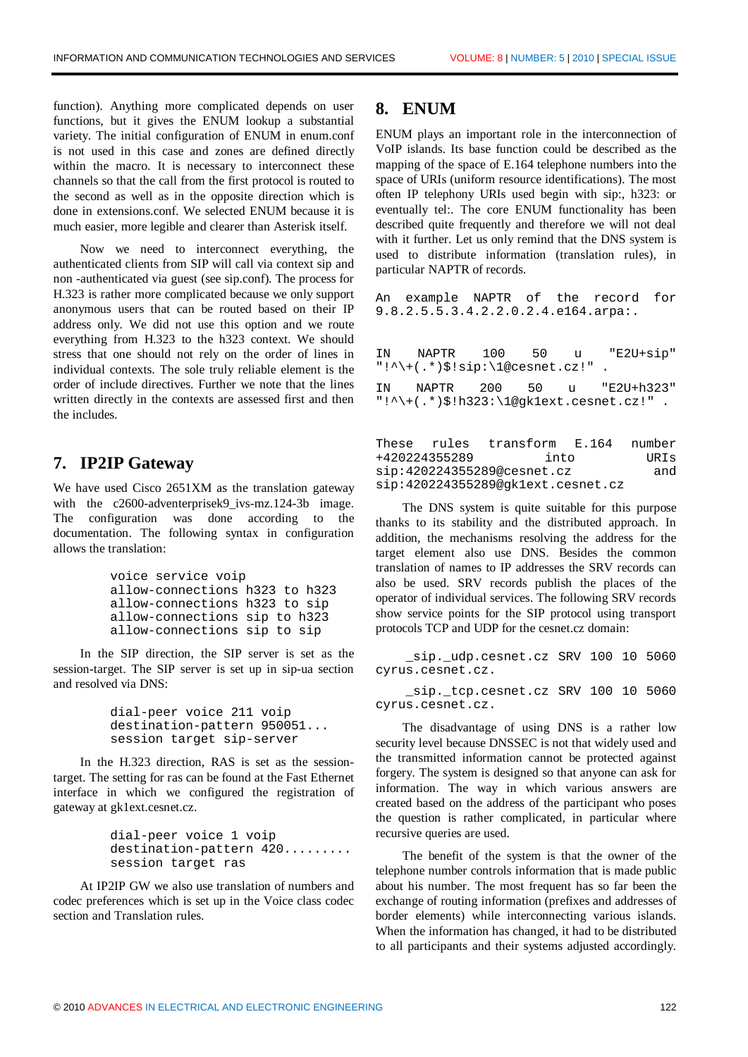function). Anything more complicated depends on user functions, but it gives the ENUM lookup a substantial variety. The initial configuration of ENUM in enum.conf is not used in this case and zones are defined directly within the macro. It is necessary to interconnect these channels so that the call from the first protocol is routed to the second as well as in the opposite direction which is done in extensions.conf. We selected ENUM because it is much easier, more legible and clearer than Asterisk itself.

Now we need to interconnect everything, the authenticated clients from SIP will call via context sip and non -authenticated via guest (see sip.conf). The process for H.323 is rather more complicated because we only support anonymous users that can be routed based on their IP address only. We did not use this option and we route everything from H.323 to the h323 context. We should stress that one should not rely on the order of lines in individual contexts. The sole truly reliable element is the order of include directives. Further we note that the lines written directly in the contexts are assessed first and then the includes.

## **7. IP2IP Gateway**

We have used Cisco 2651XM as the translation gateway with the c2600-adventerprisek9 ivs-mz.124-3b image. The configuration was done according to the documentation. The following syntax in configuration allows the translation:

```
 voice service voip
 allow-connections h323 to h323
 allow-connections h323 to sip
 allow-connections sip to h323
 allow-connections sip to sip
```
In the SIP direction, the SIP server is set as the session-target. The SIP server is set up in sip-ua section and resolved via DNS:

> dial-peer voice 211 voip destination-pattern 950051... session target sip-server

In the H.323 direction, RAS is set as the sessiontarget. The setting for ras can be found at the Fast Ethernet interface in which we configured the registration of gateway at gk1ext.cesnet.cz.

> dial-peer voice 1 voip destination-pattern 420......... session target ras

At IP2IP GW we also use translation of numbers and codec preferences which is set up in the Voice class codec section and Translation rules.

## **8. ENUM**

ENUM plays an important role in the interconnection of VoIP islands. Its base function could be described as the mapping of the space of E.164 telephone numbers into the space of URIs (uniform resource identifications). The most often IP telephony URIs used begin with sip:, h323: or eventually tel:. The core ENUM functionality has been described quite frequently and therefore we will not deal with it further. Let us only remind that the DNS system is used to distribute information (translation rules), in particular NAPTR of records.

An example NAPTR of the record for 9.8.2.5.5.3.4.2.2.0.2.4.e164.arpa:.

| $"!^{\star}$ (.*)\$!sip: \1@cesnet.cz!". |  | IN NAPTR 100 50 u "E2U+sip"                    |
|------------------------------------------|--|------------------------------------------------|
|                                          |  | IN NAPTR 200 50 u "E2U+h323"                   |
|                                          |  | $"\cdot\$ {+(.*)}\:h323:\1@gklext.cesnet.cz!". |

|               | These rules transform E.164 number |      |
|---------------|------------------------------------|------|
| +420224355289 | into                               | URIs |
|               | sip:420224355289@cesnet.cz         | and  |
|               | sip:420224355289@gklext.cesnet.cz  |      |

The DNS system is quite suitable for this purpose thanks to its stability and the distributed approach. In addition, the mechanisms resolving the address for the target element also use DNS. Besides the common translation of names to IP addresses the SRV records can also be used. SRV records publish the places of the operator of individual services. The following SRV records show service points for the SIP protocol using transport protocols TCP and UDP for the cesnet.cz domain:

 \_sip.\_udp.cesnet.cz SRV 100 10 5060 cyrus.cesnet.cz.

 \_sip.\_tcp.cesnet.cz SRV 100 10 5060 cyrus.cesnet.cz.

The disadvantage of using DNS is a rather low security level because DNSSEC is not that widely used and the transmitted information cannot be protected against forgery. The system is designed so that anyone can ask for information. The way in which various answers are created based on the address of the participant who poses the question is rather complicated, in particular where recursive queries are used.

The benefit of the system is that the owner of the telephone number controls information that is made public about his number. The most frequent has so far been the exchange of routing information (prefixes and addresses of border elements) while interconnecting various islands. When the information has changed, it had to be distributed to all participants and their systems adjusted accordingly.